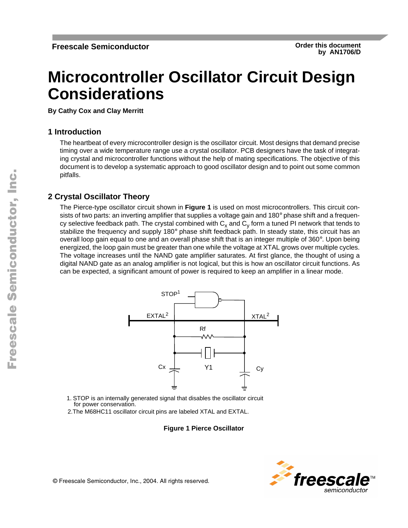# <span id="page-0-0"></span>**Microcontroller Oscillator Circuit Design Considerations**

**By Cathy Cox and Clay Merritt**

### **1 Introduction**

The heartbeat of every microcontroller design is the oscillator circuit. Most designs that demand precise timing over a wide temperature range use a crystal oscillator. PCB designers have the task of integrating crystal and microcontroller functions without the help of mating specifications. The objective of this document is to develop a systematic approach to good oscillator design and to point out some common pitfalls.

### **2 Crystal Oscillator Theory**

The Pierce-type oscillator circuit shown in **Figure 1** is used on most microcontrollers. This circuit consists of two parts: an inverting amplifier that supplies a voltage gain and 180° phase shift and a frequency selective feedback path. The crystal combined with  $C_x$  and  $C_y$  form a tuned PI network that tends to stabilize the frequency and supply 180° phase shift feedback path. In steady state, this circuit has an overall loop gain equal to one and an overall phase shift that is an integer multiple of 360°. Upon being energized, the loop gain must be greater than one while the voltage at XTAL grows over multiple cycles. The voltage increases until the NAND gate amplifier saturates. At first glance, the thought of using a digital NAND gate as an analog amplifier is not logical, but this is how an oscillator circuit functions. As can be expected, a significant amount of power is required to keep an amplifier in a linear mode.



- 1. STOP is an internally generated signal that disables the oscillator circuit for power conservation.
- 2.The M68HC11 oscillator circuit pins are labeled XTAL and EXTAL.

#### **Figure 1 Pierce Oscillator**

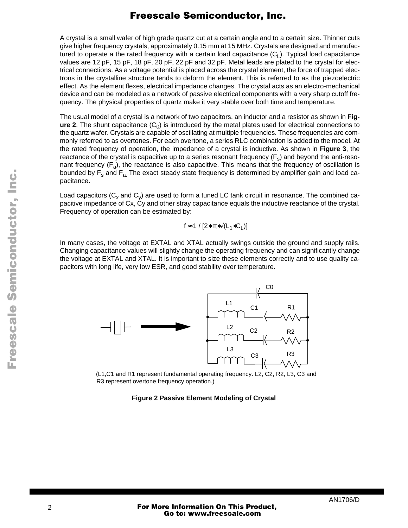A crystal is a small wafer of high grade quartz cut at a certain angle and to a certain size. Thinner cuts give higher frequency crystals, approximately 0.15 mm at 15 MHz. Crystals are designed and manufactured to operate a the rated frequency with a certain load capacitance  $(C_1)$ . Typical load capacitance values are 12 pF, 15 pF, 18 pF, 20 pF, 22 pF and 32 pF. Metal leads are plated to the crystal for electrical connections. As a voltage potential is placed across the crystal element, the force of trapped electrons in the crystalline structure tends to deform the element. This is referred to as the piezoelectric effect. As the element flexes, electrical impedance changes. The crystal acts as an electro-mechanical device and can be modeled as a network of passive electrical components with a very sharp cutoff frequency. The physical properties of quartz make it very stable over both time and temperature.

The usual model of a crystal is a network of two capacitors, an inductor and a resistor as shown in **Figure 2**. The shunt capacitance  $(C_0)$  is introduced by the metal plates used for electrical connections to the quartz wafer. Crystals are capable of oscillating at multiple frequencies. These frequencies are commonly referred to as overtones. For each overtone, a series RLC combination is added to the model. At the rated frequency of operation, the impedance of a crystal is inductive. As shown in **[Figure 3](#page-2-0)**, the reactance of the crystal is capacitive up to a series resonant frequency  $(F_s)$  and beyond the anti-resonant frequency  $(F_a)$ , the reactance is also capacitive. This means that the frequency of oscillation is bounded by  $F_s$  and  $F_a$ . The exact steady state frequency is determined by amplifier gain and load capacitance.

Load capacitors ( $C_x$  and  $C_y$ ) are used to form a tuned LC tank circuit in resonance. The combined capacitive impedance of Cx, Cy and other stray capacitance equals the inductive reactance of the crystal. Frequency of operation can be estimated by:

$$
f \approx 1 / [2 \cdot \pi \cdot \sqrt{(L_1 \cdot C_L)}]
$$

In many cases, the voltage at EXTAL and XTAL actually swings outside the ground and supply rails. Changing capacitance values will slightly change the operating frequency and can significantly change the voltage at EXTAL and XTAL. It is important to size these elements correctly and to use quality capacitors with long life, very low ESR, and good stability over temperature.



(L1,C1 and R1 represent fundamental operating frequency. L2, C2, R2, L3, C3 and R3 represent overtone frequency operation.)

**Figure 2 Passive Element Modeling of Crystal** 

 $\bf \Phi$ 

mic

o n d u  $\mathbf 0$ t o

r, I

n

.<br>ق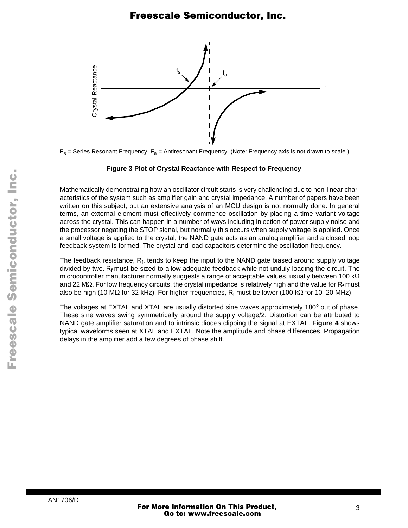<span id="page-2-0"></span>

 $F_s$  = Series Resonant Frequency.  $F_a$  = Antiresonant Frequency. (Note: Frequency axis is not drawn to scale.)

#### **Figure 3 Plot of Crystal Reactance with Respect to Frequency**

Mathematically demonstrating how an oscillator circuit starts is very challenging due to non-linear characteristics of the system such as amplifier gain and crystal impedance. A number of papers have been written on this subject, but an extensive analysis of an MCU design is not normally done. In general terms, an external element must effectively commence oscillation by placing a time variant voltage across the crystal. This can happen in a number of ways including injection of power supply noise and the processor negating the STOP signal, but normally this occurs when supply voltage is applied. Once a small voltage is applied to the crystal, the NAND gate acts as an analog amplifier and a closed loop feedback system is formed. The crystal and load capacitors determine the oscillation frequency.

The feedback resistance,  $R_{\mathsf{f}}$ , tends to keep the input to the NAND gate biased around supply voltage divided by two.  $R_f$  must be sized to allow adequate feedback while not unduly loading the circuit. The microcontroller manufacturer normally suggests a range of acceptable values, usually between 100 kΩ and 22 M $\Omega$ . For low frequency circuits, the crystal impedance is relatively high and the value for  $\mathsf{R}_{\mathsf{f}}$  must also be high (10 MΩ for 32 kHz). For higher frequencies,  $\mathsf{R}_\mathsf{f}$  must be lower (100 kΩ for 10–20 MHz).

The voltages at EXTAL and XTAL are usually distorted sine waves approximately 180° out of phase. These sine waves swing symmetrically around the supply voltage/2. Distortion can be attributed to NAND gate amplifier saturation and to intrinsic diodes clipping the signal at EXTAL. **[Figure 4](#page-3-0)** shows typical waveforms seen at XTAL and EXTAL. Note the amplitude and phase differences. Propagation delays in the amplifier add a few degrees of phase shift.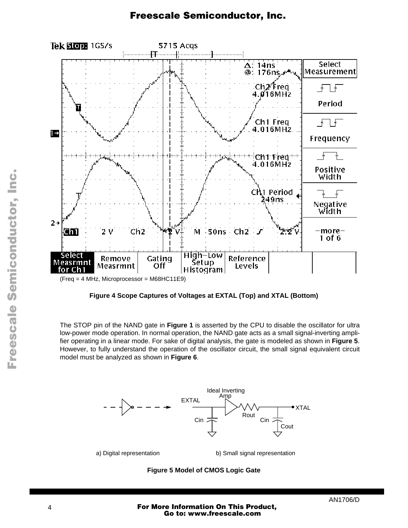<span id="page-3-0"></span>

**Figure 4 Scope Captures of Voltages at EXTAL (Top) and XTAL (Bottom)**

The STOP pin of the NAND gate in **[Figure 1](#page-0-0)** is asserted by the CPU to disable the oscillator for ultra low-power mode operation. In normal operation, the NAND gate acts as a small signal-inverting amplifier operating in a linear mode. For sake of digital analysis, the gate is modeled as shown in **Figure 5**. However, to fully understand the operation of the oscillator circuit, the small signal equivalent circuit model must be analyzed as shown in **[Figure 6](#page-4-0)**.



#### **Figure 5 Model of CMOS Logic Gate**

Fr  $\boldsymbol{\Phi}$  $\bf \Phi$  $\boldsymbol{\eta}$  $\mathbf 0$ ale  $\boldsymbol{g}$  $\bf \Phi$ mic o n d u  $\mathbf 0$ t o r, I n .<br>ق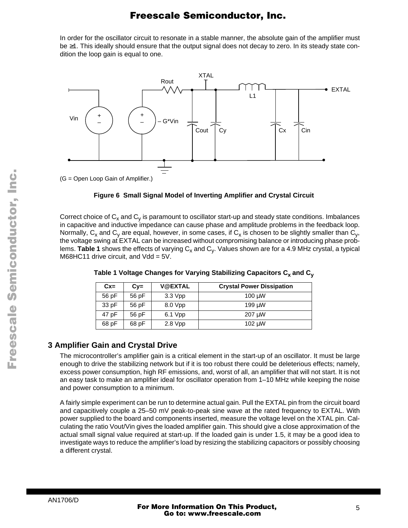<span id="page-4-0"></span>In order for the oscillator circuit to resonate in a stable manner, the absolute gain of the amplifier must be ≥1. This ideally should ensure that the output signal does not decay to zero. In its steady state condition the loop gain is equal to one.



**Figure 6 Small Signal Model of Inverting Amplifier and Crystal Circuit** 

Correct choice of  $C_x$  and  $C_y$  is paramount to oscillator start-up and steady state conditions. Imbalances in capacitive and inductive impedance can cause phase and amplitude problems in the feedback loop. Normally, C<sub>x</sub> and C<sub>y</sub> are equal, however, in some cases, if C<sub>x</sub> is chosen to be slightly smaller than C<sub>y</sub>, the voltage swing at EXTAL can be increased without compromising balance or introducing phase problems. Table 1 shows the effects of varying C<sub>x</sub> and C<sub>y</sub>. Values shown are for a 4.9 MHz crystal, a typical M68HC11 drive circuit, and  $Vdd = 5V$ .

| $Cx =$ | $Cv =$ | <b>V@EXTAL</b> | <b>Crystal Power Dissipation</b> |
|--------|--------|----------------|----------------------------------|
| 56 pF  | 56 pF  | $3.3$ Vpp      | $100 \mu W$                      |
| 33 pF  | 56 pF  | 8.0 Vpp        | 199 uW                           |
| 47 pF  | 56 pF  | 6.1 Vpp        | 207 µW                           |
| 68 pF  | 68 pF  | $2.8 \, Vpp$   | 102 µW                           |

Table 1 Voltage Changes for Varying Stabilizing Capacitors C<sub>x</sub> and C<sub>v</sub>

### **3 Amplifier Gain and Crystal Drive**

The microcontroller's amplifier gain is a critical element in the start-up of an oscillator. It must be large enough to drive the stabilizing network but if it is too robust there could be deleterious effects; namely, excess power consumption, high RF emissions, and, worst of all, an amplifier that will not start. It is not an easy task to make an amplifier ideal for oscillator operation from 1–10 MHz while keeping the noise and power consumption to a minimum.

A fairly simple experiment can be run to determine actual gain. Pull the EXTAL pin from the circuit board and capacitively couple a 25–50 mV peak-to-peak sine wave at the rated frequency to EXTAL. With power supplied to the board and components inserted, measure the voltage level on the XTAL pin. Calculating the ratio Vout/Vin gives the loaded amplifier gain. This should give a close approximation of the actual small signal value required at start-up. If the loaded gain is under 1.5, it may be a good idea to investigate ways to reduce the amplifier's load by resizing the stabilizing capacitors or possibly choosing a different crystal.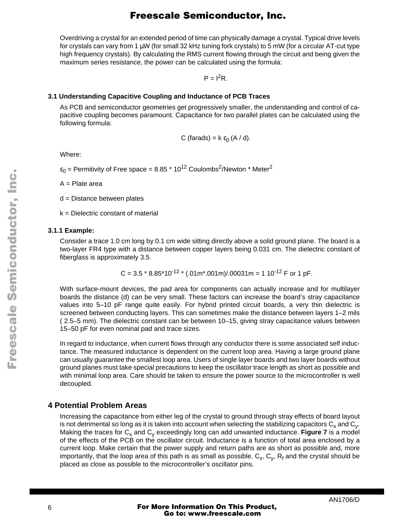Overdriving a crystal for an extended period of time can physically damage a crystal. Typical drive levels for crystals can vary from 1 µW (for small 32 kHz tuning fork crystals) to 5 mW (for a circular AT-cut type high frequency crystals). By calculating the RMS current flowing through the circuit and being given the maximum series resistance, the power can be calculated using the formula:

 $P = I^2R$ .

#### **3.1 Understanding Capacitive Coupling and Inductance of PCB Traces**

As PCB and semiconductor geometries get progressively smaller, the understanding and control of capacitive coupling becomes paramount. Capacitance for two parallel plates can be calculated using the following formula:

C (farads) = 
$$
k \varepsilon_0 (A / d)
$$
.

Where:

 $\varepsilon_0$  = Permitivity of Free space = 8.85  $\text{*}$  10<sup>12</sup> Coulombs<sup>2</sup>/Newton  $\text{*}$  Meter<sup>2</sup>

A = Plate area

d = Distance between plates

k = Dielectric constant of material

#### **3.1.1 Example:**

Consider a trace 1.0 cm long by 0.1 cm wide sitting directly above a solid ground plane. The board is a two-layer FR4 type with a distance between copper layers being 0.031 cm. The dielectric constant of fiberglass is approximately 3.5.

C = 3.5 \* 8.85\*10-12 \* (.01m\*.001m)/.00031m = 1 10-12 F or 1 pF.

With surface-mount devices, the pad area for components can actually increase and for multilayer boards the distance (d) can be very small. These factors can increase the board's stray capacitance values into 5–10 pF range quite easily. For hybrid printed circuit boards, a very thin dielectric is screened between conducting layers. This can sometimes make the distance between layers 1–2 mils ( 2.5–5 mm). The dielectric constant can be between 10–15, giving stray capacitance values between 15–50 pF for even nominal pad and trace sizes.

In regard to inductance, when current flows through any conductor there is some associated self inductance. The measured inductance is dependent on the current loop area. Having a large ground plane can usually guarantee the smallest loop area. Users of single layer boards and two layer boards without ground planes must take special precautions to keep the oscillator trace length as short as possible and with minimal loop area. Care should be taken to ensure the power source to the microcontroller is well decoupled.

#### **4 Potential Problem Areas**

Increasing the capacitance from either leg of the crystal to ground through stray effects of board layout is not detrimental so long as it is taken into account when selecting the stabilizing capacitors  $C_x$  and  $C_y$ . Making the traces for  $C_x$  and  $C_y$  exceedingly long can add unwanted inductance. **[Figure 7](#page-6-0)** is a model of the effects of the PCB on the oscillator circuit. Inductance is a function of total area enclosed by a current loop. Make certain that the power supply and return paths are as short as possible and, more importantly, that the loop area of this path is as small as possible.  $\mathsf{C}_\mathsf{x},\,\mathsf{C}_\mathsf{y},\,\mathsf{R}_\mathsf{f}$  and the crystal should be placed as close as possible to the microcontroller's oscillator pins.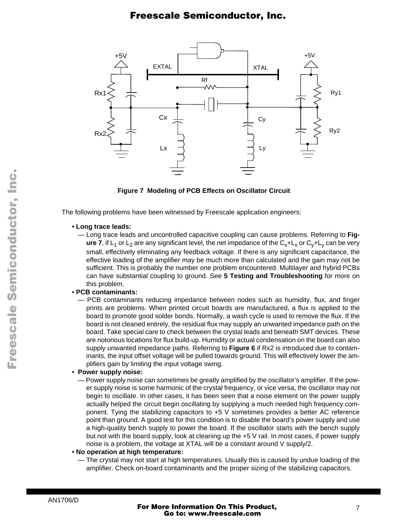<span id="page-6-0"></span>

**Figure 7 Modeling of PCB Effects on Oscillator Circuit**

The following problems have been witnessed by Freescale application engineers:

#### **• Long trace leads:**

— Long trace leads and uncontrolled capacitive coupling can cause problems. Referring to **Figure 7**, if L<sub>1</sub> or L<sub>2</sub> are any significant level, the net impedance of the C<sub>x</sub>+L<sub>x</sub> or C<sub>v</sub>+L<sub>v</sub> can be very small, effectively eliminating any feedback voltage. If there is any significant capacitance, the effective loading of the amplifier may be much more than calculated and the gain may not be sufficient. This is probably the number one problem encountered. Multilayer and hybrid PCBs can have substantial coupling to ground. See **[5 Testing and Troubleshooting](#page-7-0)** for more on this problem.

#### • **PCB contaminants:**

— PCB contaminants reducing impedance between nodes such as humidity, flux, and finger prints are problems. When printed circuit boards are manufactured, a flux is applied to the board to promote good solder bonds. Normally, a wash cycle is used to remove the flux. If the board is not cleaned entirely, the residual flux may supply an unwanted impedance path on the board. Take special care to check between the crystal leads and beneath SMT devices. These are notorious locations for flux build-up. Humidity or actual condensation on the board can also supply unwanted impedance paths. Referring to **[Figure 6](#page-4-0)** if Rx2 is introduced due to contaminants, the input offset voltage will be pulled towards ground. This will effectively lower the amplifiers gain by limiting the input voltage swing.

#### • **Power supply noise:**

— Power supply noise can sometimes be greatly amplified by the oscillator's amplifier. If the power supply noise is some harmonic of the crystal frequency, or vice versa, the oscillator may not begin to oscillate. In other cases, it has been seen that a noise element on the power supply actually helped the circuit begin oscillating by supplying a much needed high frequency component. Tying the stabilizing capacitors to +5 V sometimes provides a better AC reference point than ground. A good test for this condition is to disable the board's power supply and use a high-quality bench supply to power the board. If the oscillator starts with the bench supply but not with the board supply, look at cleaning up the +5 V rail. In most cases, if power supply noise is a problem, the voltage at XTAL will be a constant around V supply/2.

#### **• No operation at high temperature:**

— The crystal may not start at high temperatures. Usually this is caused by undue loading of the amplifier. Check on-board contaminants and the proper sizing of the stabilizing capacitors.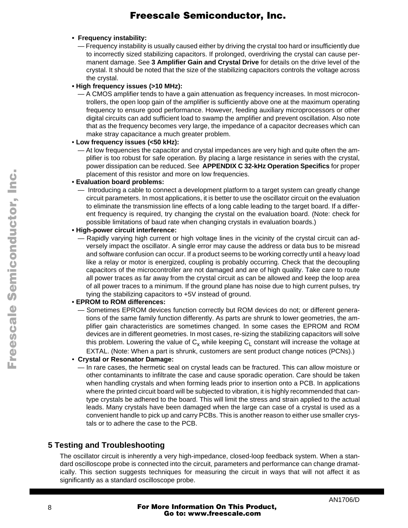#### <span id="page-7-0"></span>**• Frequency instability:**

— Frequency instability is usually caused either by driving the crystal too hard or insufficiently due to incorrectly sized stabilizing capacitors. If prolonged, overdriving the crystal can cause permanent damage. See **[3 Amplifier Gain and Crystal Drive](#page-4-0)** for details on the drive level of the crystal. It should be noted that the size of the stabilizing capacitors controls the voltage across the crystal.

#### **• High frequency issues (>10 MHz):**

— A CMOS amplifier tends to have a gain attenuation as frequency increases. In most microcontrollers, the open loop gain of the amplifier is sufficiently above one at the maximum operating frequency to ensure good performance. However, feeding auxiliary microprocessors or other digital circuits can add sufficient load to swamp the amplifier and prevent oscillation. Also note that as the frequency becomes very large, the impedance of a capacitor decreases which can make stray capacitance a much greater problem.

#### • **Low frequency issues (<50 kHz):**

— At low frequencies the capacitor and crystal impedances are very high and quite often the amplifier is too robust for safe operation. By placing a large resistance in series with the crystal, power dissipation can be reduced. See **[APPENDIX C 32-kHz Operation Specifics](#page-10-0)** for proper placement of this resistor and more on low frequencies.

#### • **Evaluation board problems:**

— Introducing a cable to connect a development platform to a target system can greatly change circuit parameters. In most applications, it is better to use the oscillator circuit on the evaluation to eliminate the transmission line effects of a long cable leading to the target board. If a different frequency is required, try changing the crystal on the evaluation board. (Note: check for possible limitations of baud rate when changing crystals in evaluation boards.)

#### **• High-power circuit interference:**

— Rapidly varying high current or high voltage lines in the vicinity of the crystal circuit can adversely impact the oscillator. A single error may cause the address or data bus to be misread and software confusion can occur. If a product seems to be working correctly until a heavy load like a relay or motor is energized, coupling is probably occurring. Check that the decoupling capacitors of the microcontroller are not damaged and are of high quality. Take care to route all power traces as far away from the crystal circuit as can be allowed and keep the loop area of all power traces to a minimum. If the ground plane has noise due to high current pulses, try tying the stabilizing capacitors to +5V instead of ground.

#### • **EPROM to ROM differences:**

— Sometimes EPROM devices function correctly but ROM devices do not; or different generations of the same family function differently. As parts are shrunk to lower geometries, the amplifier gain characteristics are sometimes changed. In some cases the EPROM and ROM devices are in different geometries. In most cases, re-sizing the stabilizing capacitors will solve this problem. Lowering the value of  $C_x$  while keeping  $C_1$  constant will increase the voltage at EXTAL. (Note: When a part is shrunk, customers are sent product change notices (PCNs).)

#### • **Crystal or Resonator Damage:**

— In rare cases, the hermetic seal on crystal leads can be fractured. This can allow moisture or other contaminants to infiltrate the case and cause sporadic operation. Care should be taken when handling crystals and when forming leads prior to insertion onto a PCB. In applications where the printed circuit board will be subjected to vibration, it is highly recommended that cantype crystals be adhered to the board. This will limit the stress and strain applied to the actual leads. Many crystals have been damaged when the large can case of a crystal is used as a convenient handle to pick up and carry PCBs. This is another reason to either use smaller crystals or to adhere the case to the PCB.

### **5 Testing and Troubleshooting**

The oscillator circuit is inherently a very high-impedance, closed-loop feedback system. When a standard oscilloscope probe is connected into the circuit, parameters and performance can change dramatically. This section suggests techniques for measuring the circuit in ways that will not affect it as significantly as a standard oscilloscope probe.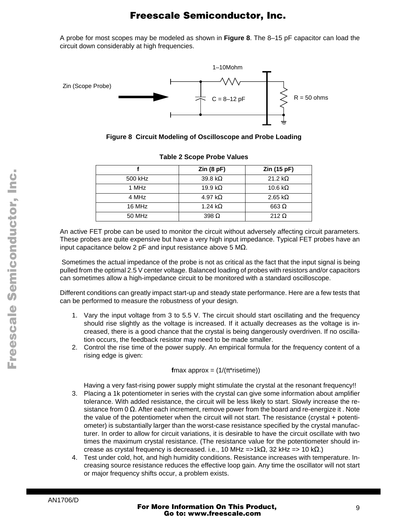A probe for most scopes may be modeled as shown in **Figure 8**. The 8–15 pF capacitor can load the circuit down considerably at high frequencies.



**Figure 8 Circuit Modeling of Oscilloscope and Probe Loading**

|         | $\mathsf{Zin}\left( 8\,\mathsf{pF}\right)$ | Zin (15 pF)     |
|---------|--------------------------------------------|-----------------|
| 500 kHz | 39.8 k $\Omega$                            | 21.2 k $\Omega$ |
| 1 MHz   | 19.9 k $\Omega$                            | 10.6 k $\Omega$ |
| 4 MHz   | 4.97 k $\Omega$                            | 2.65 k $\Omega$ |
| 16 MHz  | 1.24 k $\Omega$                            | 663 $\Omega$    |
| 50 MHz  | 398 $\Omega$                               | 212 $\Omega$    |

#### **Table 2 Scope Probe Values**

An active FET probe can be used to monitor the circuit without adversely affecting circuit parameters. These probes are quite expensive but have a very high input impedance. Typical FET probes have an input capacitance below 2 pF and input resistance above 5 M $\Omega$ .

 Sometimes the actual impedance of the probe is not as critical as the fact that the input signal is being pulled from the optimal 2.5 V center voltage. Balanced loading of probes with resistors and/or capacitors can sometimes allow a high-impedance circuit to be monitored with a standard oscilloscope.

Different conditions can greatly impact start-up and steady state performance. Here are a few tests that can be performed to measure the robustness of your design.

- 1. Vary the input voltage from 3 to 5.5 V. The circuit should start oscillating and the frequency should rise slightly as the voltage is increased. If it actually decreases as the voltage is increased, there is a good chance that the crystal is being dangerously overdriven. If no oscillation occurs, the feedback resistor may need to be made smaller.
- 2. Control the rise time of the power supply. An empirical formula for the frequency content of a rising edge is given:

**f**max approx =  $(1/(\pi^*$ risetime))

Having a very fast-rising power supply might stimulate the crystal at the resonant frequency!!

- 3. Placing a 1k potentiometer in series with the crystal can give some information about amplifier tolerance. With added resistance, the circuit will be less likely to start. Slowly increase the resistance from 0  $\Omega$ . After each increment, remove power from the board and re-energize it . Note the value of the potentiometer when the circuit will not start. The resistance (crystal + potentiometer) is substantially larger than the worst-case resistance specified by the crystal manufacturer. In order to allow for circuit variations, it is desirable to have the circuit oscillate with two times the maximum crystal resistance. (The resistance value for the potentiometer should increase as crystal frequency is decreased. i.e., 10 MHz =>1kΩ, 32 kHz => 10 kΩ.)
- 4. Test under cold, hot, and high humidity conditions. Resistance increases with temperature. Increasing source resistance reduces the effective loop gain. Any time the oscillator will not start or major frequency shifts occur, a problem exists.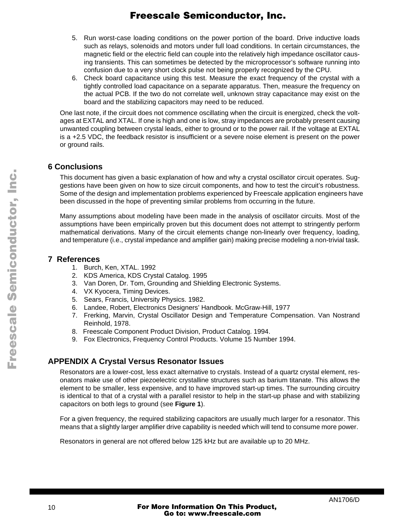- 5. Run worst-case loading conditions on the power portion of the board. Drive inductive loads such as relays, solenoids and motors under full load conditions. In certain circumstances, the magnetic field or the electric field can couple into the relatively high impedance oscillator causing transients. This can sometimes be detected by the microprocessor's software running into confusion due to a very short clock pulse not being properly recognized by the CPU.
- 6. Check board capacitance using this test. Measure the exact frequency of the crystal with a tightly controlled load capacitance on a separate apparatus. Then, measure the frequency on the actual PCB. If the two do not correlate well, unknown stray capacitance may exist on the board and the stabilizing capacitors may need to be reduced.

One last note, if the circuit does not commence oscillating when the circuit is energized, check the voltages at EXTAL and XTAL. If one is high and one is low, stray impedances are probably present causing unwanted coupling between crystal leads, either to ground or to the power rail. If the voltage at EXTAL is a +2.5 VDC, the feedback resistor is insufficient or a severe noise element is present on the power or ground rails.

### **6 Conclusions**

This document has given a basic explanation of how and why a crystal oscillator circuit operates. Suggestions have been given on how to size circuit components, and how to test the circuit's robustness. Some of the design and implementation problems experienced by Freescale application engineers have been discussed in the hope of preventing similar problems from occurring in the future.

Many assumptions about modeling have been made in the analysis of oscillator circuits. Most of the assumptions have been empirically proven but this document does not attempt to stringently perform mathematical derivations. Many of the circuit elements change non-linearly over frequency, loading, and temperature (i.e., crystal impedance and amplifier gain) making precise modeling a non-trivial task.

### **7 References**

- 1. Burch, Ken, XTAL. 1992
- 2. KDS America, KDS Crystal Catalog. 1995
- 3. Van Doren, Dr. Tom, Grounding and Shielding Electronic Systems.
- 4. VX Kyocera, Timing Devices.
- 5. Sears, Francis, University Physics. 1982.
- 6. Landee, Robert, Electronics Designers' Handbook. McGraw-Hill, 1977
- 7. Frerking, Marvin, Crystal Oscillator Design and Temperature Compensation. Van Nostrand Reinhold, 1978.
- 8. Freescale Component Product Division, Product Catalog. 1994.
- 9. Fox Electronics, Frequency Control Products. Volume 15 Number 1994.

### **APPENDIX A Crystal Versus Resonator Issues**

Resonators are a lower-cost, less exact alternative to crystals. Instead of a quartz crystal element, resonators make use of other piezoelectric crystalline structures such as barium titanate. This allows the element to be smaller, less expensive, and to have improved start-up times. The surrounding circuitry is identical to that of a crystal with a parallel resistor to help in the start-up phase and with stabilizing capacitors on both legs to ground (see **[Figure 1](#page-0-0)**).

For a given frequency, the required stabilizing capacitors are usually much larger for a resonator. This means that a slightly larger amplifier drive capability is needed which will tend to consume more power.

Resonators in general are not offered below 125 kHz but are available up to 20 MHz.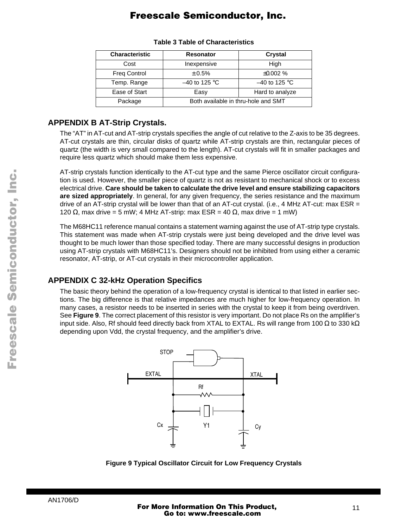<span id="page-10-0"></span>

| <b>Characteristic</b> | <b>Resonator</b>                    | Crystal         |  |
|-----------------------|-------------------------------------|-----------------|--|
| Cost                  | Inexpensive                         | High            |  |
| <b>Freq Control</b>   | $\pm 0.5\%$                         | $\pm 0.002$ %   |  |
| Temp. Range           | $-40$ to 125 °C                     | $-40$ to 125 °C |  |
| Ease of Start         | Easy                                | Hard to analyze |  |
| Package               | Both available in thru-hole and SMT |                 |  |

#### **Table 3 Table of Characteristics**

### **APPENDIX B AT-Strip Crystals.**

The "AT" in AT-cut and AT-strip crystals specifies the angle of cut relative to the Z-axis to be 35 degrees. AT-cut crystals are thin, circular disks of quartz while AT-strip crystals are thin, rectangular pieces of quartz (the width is very small compared to the length). AT-cut crystals will fit in smaller packages and require less quartz which should make them less expensive.

AT-strip crystals function identically to the AT-cut type and the same Pierce oscillator circuit configuration is used. However, the smaller piece of quartz is not as resistant to mechanical shock or to excess electrical drive. **Care should be taken to calculate the drive level and ensure stabilizing capacitors are sized appropriately**. In general, for any given frequency, the series resistance and the maximum drive of an AT-strip crystal will be lower than that of an AT-cut crystal. (i.e., 4 MHz AT-cut: max ESR = 120 Ω, max drive = 5 mW; 4 MHz AT-strip: max ESR = 40 Ω, max drive = 1 mW)

The M68HC11 reference manual contains a statement warning against the use of AT-strip type crystals. This statement was made when AT-strip crystals were just being developed and the drive level was thought to be much lower than those specified today. There are many successful designs in production using AT-strip crystals with M68HC11's. Designers should not be inhibited from using either a ceramic resonator, AT-strip, or AT-cut crystals in their microcontroller application.

### **APPENDIX C 32-kHz Operation Specifics**

The basic theory behind the operation of a low-frequency crystal is identical to that listed in earlier sections. The big difference is that relative impedances are much higher for low-frequency operation. In many cases, a resistor needs to be inserted in series with the crystal to keep it from being overdriven. See **Figure 9**. The correct placement of this resistor is very important. Do not place Rs on the amplifier's input side. Also, Rf should feed directly back from XTAL to EXTAL. Rs will range from 100 Ω to 330 kΩ depending upon Vdd, the crystal frequency, and the amplifier's drive.



**Figure 9 Typical Oscillator Circuit for Low Frequency Crystals**